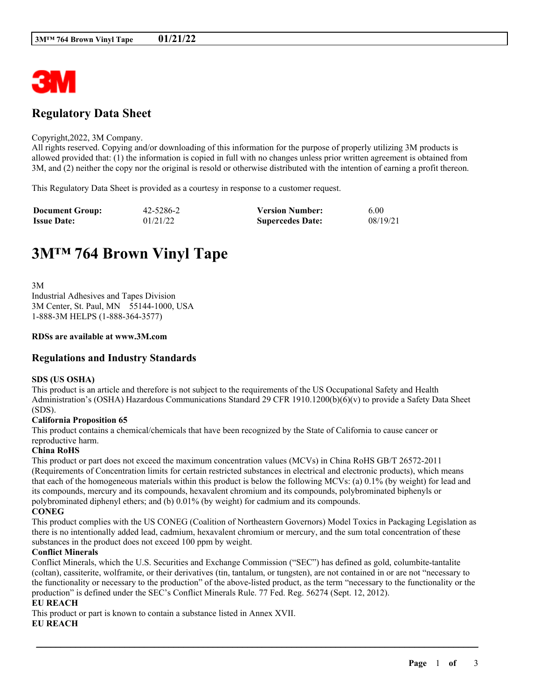

## **Regulatory Data Sheet**

#### Copyright,2022, 3M Company.

All rights reserved. Copying and/or downloading of this information for the purpose of properly utilizing 3M products is allowed provided that: (1) the information is copied in full with no changes unless prior written agreement is obtained from 3M, and (2) neither the copy nor the original is resold or otherwise distributed with the intention of earning a profit thereon.

This Regulatory Data Sheet is provided as a courtesy in response to a customer request.

| <b>Document Group:</b> | 42-5286-2 | <b>Version Number:</b>  | 6.00     |
|------------------------|-----------|-------------------------|----------|
| <b>Issue Date:</b>     | 01/21/22  | <b>Supercedes Date:</b> | 08/19/21 |

# **3M™ 764 Brown Vinyl Tape**

3M Industrial Adhesives and Tapes Division 3M Center, St. Paul, MN 55144-1000, USA 1-888-3M HELPS (1-888-364-3577)

#### **RDSs are available at www.3M.com**

## **Regulations and Industry Standards**

#### **SDS (US OSHA)**

This product is an article and therefore is not subject to the requirements of the US Occupational Safety and Health Administration's (OSHA) Hazardous Communications Standard 29 CFR 1910.1200(b)(6)(v) to provide a Safety Data Sheet (SDS).

#### **California Proposition 65**

This product contains a chemical/chemicals that have been recognized by the State of California to cause cancer or reproductive harm.

#### **China RoHS**

This product or part does not exceed the maximum concentration values (MCVs) in China RoHS GB/T 26572-2011 (Requirements of Concentration limits for certain restricted substances in electrical and electronic products), which means that each of the homogeneous materials within this product is below the following MCVs: (a) 0.1% (by weight) for lead and its compounds, mercury and its compounds, hexavalent chromium and its compounds, polybrominated biphenyls or polybrominated diphenyl ethers; and (b) 0.01% (by weight) for cadmium and its compounds. **CONEG**

This product complies with the US CONEG (Coalition of Northeastern Governors) Model Toxics in Packaging Legislation as there is no intentionally added lead, cadmium, hexavalent chromium or mercury, and the sum total concentration of these substances in the product does not exceed 100 ppm by weight.

#### **Conflict Minerals**

Conflict Minerals, which the U.S. Securities and Exchange Commission ("SEC") has defined as gold, columbite-tantalite (coltan), cassiterite, wolframite, or their derivatives (tin, tantalum, or tungsten), are not contained in or are not "necessary to the functionality or necessary to the production" of the above-listed product, as the term "necessary to the functionality or the production" is defined under the SEC's Conflict Minerals Rule. 77 Fed. Reg. 56274 (Sept. 12, 2012).

\_\_\_\_\_\_\_\_\_\_\_\_\_\_\_\_\_\_\_\_\_\_\_\_\_\_\_\_\_\_\_\_\_\_\_\_\_\_\_\_\_\_\_\_\_\_\_\_\_\_\_\_\_\_\_\_\_\_\_\_\_\_\_\_\_\_\_\_\_\_\_\_\_\_\_\_\_\_\_\_\_\_\_\_\_\_\_\_\_\_

## **EU REACH**

This product or part is known to contain a substance listed in Annex XVII.

#### **EU REACH**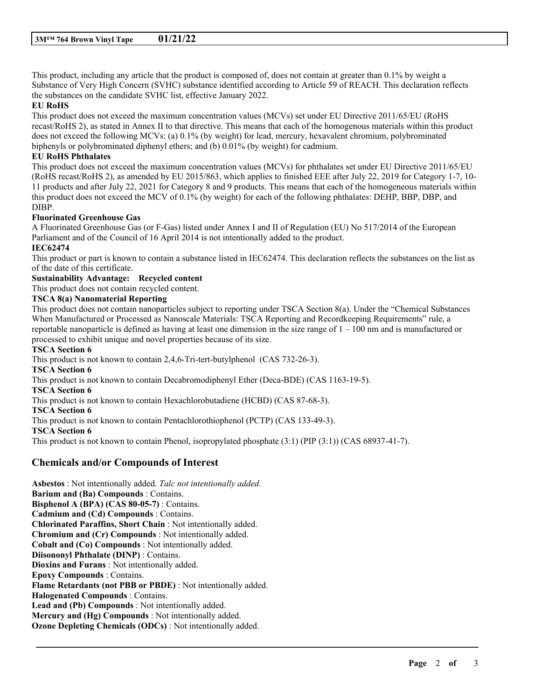This product, including any article that the product is composed of, does not contain at greater than 0.1% by weight a Substance of Very High Concern (SVHC) substance identified according to Article 59 of REACH. This declaration reflects the substances on the candidate SVHC list, effective January 2022.

#### **EU RoHS**

This product does not exceed the maximum concentration values (MCVs) set under EU Directive 2011/65/EU (RoHS recast/RoHS 2), as stated in Annex II to that directive. This means that each of the homogenous materials within this product does not exceed the following MCVs: (a) 0.1% (by weight) for lead, mercury, hexavalent chromium, polybrominated biphenyls or polybrominated diphenyl ethers; and (b) 0.01% (by weight) for cadmium.

#### **EU RoHS Phthalates**

This product does not exceed the maximum concentration values (MCVs) for phthalates set under EU Directive 2011/65/EU (RoHS recast/RoHS 2), as amended by EU 2015/863, which applies to finished EEE after July 22, 2019 for Category 1-7, 10- 11 products and after July 22, 2021 for Category 8 and 9 products. This means that each of the homogeneous materials within this product does not exceed the MCV of 0.1% (by weight) for each of the following phthalates: DEHP, BBP, DBP, and DIBP.

#### **Fluorinated Greenhouse Gas**

A Fluorinated Greenhouse Gas (or F-Gas) listed under Annex I and II of Regulation (EU) No 517/2014 of the European Parliament and of the Council of 16 April 2014 is not intentionally added to the product.

## **IEC62474**

This product or part is known to contain a substance listed in IEC62474. This declaration reflects the substances on the list as of the date of this certificate.

## **Sustainability Advantage: Recycled content**

This product does not contain recycled content.

#### **TSCA 8(a) Nanomaterial Reporting**

This product does not contain nanoparticles subject to reporting under TSCA Section 8(a). Under the "Chemical Substances When Manufactured or Processed as Nanoscale Materials: TSCA Reporting and Recordkeeping Requirements" rule, a reportable nanoparticle is defined as having at least one dimension in the size range of  $1 - 100$  nm and is manufactured or processed to exhibit unique and novel properties because of its size.

\_\_\_\_\_\_\_\_\_\_\_\_\_\_\_\_\_\_\_\_\_\_\_\_\_\_\_\_\_\_\_\_\_\_\_\_\_\_\_\_\_\_\_\_\_\_\_\_\_\_\_\_\_\_\_\_\_\_\_\_\_\_\_\_\_\_\_\_\_\_\_\_\_\_\_\_\_\_\_\_\_\_\_\_\_\_\_\_\_\_

#### **TSCA Section 6**

This product is not known to contain 2,4,6-Tri-tert-butylphenol (CAS 732-26-3). **TSCA Section 6** This product is not known to contain Decabromodiphenyl Ether (Deca-BDE) (CAS 1163-19-5). **TSCA Section 6** This product is not known to contain Hexachlorobutadiene (HCBD) (CAS 87-68-3). **TSCA Section 6** This product is not known to contain Pentachlorothiophenol (PCTP) (CAS 133-49-3). **TSCA Section 6** This product is not known to contain Phenol, isopropylated phosphate (3:1) (PIP (3:1)) (CAS 68937-41-7).

## **Chemicals and/or Compounds of Interest**

**Asbestos** : Not intentionally added. *Talc not intentionally added.* **Barium and (Ba) Compounds** : Contains. **Bisphenol A (BPA) (CAS 80-05-7)** : Contains. **Cadmium and (Cd) Compounds** : Contains. **Chlorinated Paraffins, Short Chain** : Not intentionally added. **Chromium and (Cr) Compounds** : Not intentionally added. **Cobalt and (Co) Compounds** : Not intentionally added. **Diisononyl Phthalate (DINP)** : Contains. **Dioxins and Furans** : Not intentionally added. **Epoxy Compounds** : Contains. **Flame Retardants (not PBB or PBDE)** : Not intentionally added. **Halogenated Compounds** : Contains. **Lead and (Pb) Compounds** : Not intentionally added. **Mercury and (Hg) Compounds** : Not intentionally added. **Ozone Depleting Chemicals (ODCs)** : Not intentionally added.